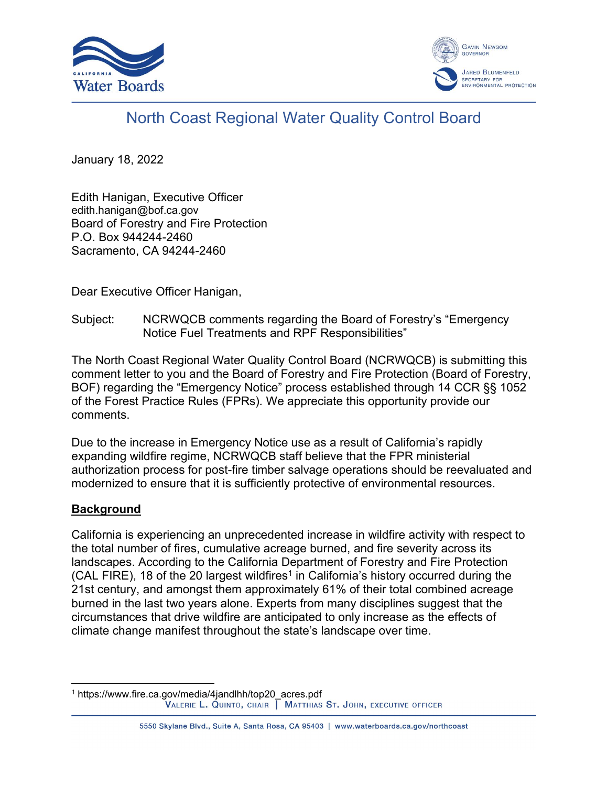



# North Coast Regional Water Quality Control Board

January 18, 2022

Edith Hanigan, Executive Officer edith.hanigan@bof.ca.gov Board of Forestry and Fire Protection P.O. Box 944244-2460 Sacramento, CA 94244-2460

Dear Executive Officer Hanigan,

Subject: NCRWQCB comments regarding the Board of Forestry's "Emergency Notice Fuel Treatments and RPF Responsibilities"

The North Coast Regional Water Quality Control Board (NCRWQCB) is submitting this comment letter to you and the Board of Forestry and Fire Protection (Board of Forestry, BOF) regarding the "Emergency Notice" process established through 14 CCR §§ 1052 of the Forest Practice Rules (FPRs)*.* We appreciate this opportunity provide our comments.

Due to the increase in Emergency Notice use as a result of California's rapidly expanding wildfire regime, NCRWQCB staff believe that the FPR ministerial authorization process for post-fire timber salvage operations should be reevaluated and modernized to ensure that it is sufficiently protective of environmental resources.

## **Background**

California is experiencing an unprecedented increase in wildfire activity with respect to the total number of fires, cumulative acreage burned, and fire severity across its landscapes. According to the California Department of Forestry and Fire Protection (CAL FIRE), [1](#page-0-0)8 of the 20 largest wildfires<sup>1</sup> in California's history occurred during the 21st century, and amongst them approximately 61% of their total combined acreage burned in the last two years alone. Experts from many disciplines suggest that the circumstances that drive wildfire are anticipated to only increase as the effects of climate change manifest throughout the state's landscape over time.

<span id="page-0-0"></span><sup>1</sup> https://www.fire.ca.gov/media/4jandlhh/top20\_acres.pdf<br>VALERIE L. QUINTO, CHAIR  $\sqrt{\phantom{a}}$  MATTHIAS ST. JOHN, EXECUTIVE OFFICER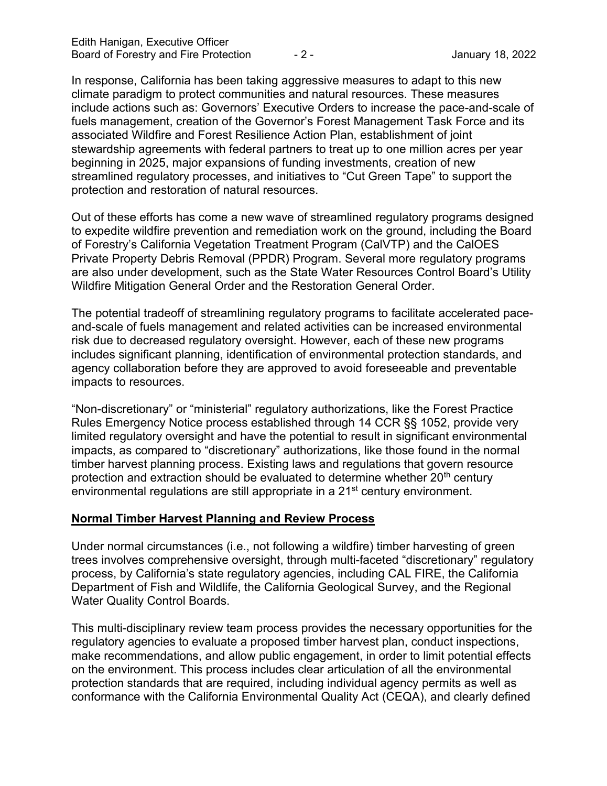In response, California has been taking aggressive measures to adapt to this new climate paradigm to protect communities and natural resources. These measures include actions such as: Governors' Executive Orders to increase the pace-and-scale of fuels management, creation of the Governor's Forest Management Task Force and its associated Wildfire and Forest Resilience Action Plan, establishment of joint stewardship agreements with federal partners to treat up to one million acres per year beginning in 2025, major expansions of funding investments, creation of new streamlined regulatory processes, and initiatives to "Cut Green Tape" to support the protection and restoration of natural resources.

Out of these efforts has come a new wave of streamlined regulatory programs designed to expedite wildfire prevention and remediation work on the ground, including the Board of Forestry's California Vegetation Treatment Program (CalVTP) and the CalOES Private Property Debris Removal (PPDR) Program. Several more regulatory programs are also under development, such as the State Water Resources Control Board's Utility Wildfire Mitigation General Order and the Restoration General Order.

The potential tradeoff of streamlining regulatory programs to facilitate accelerated paceand-scale of fuels management and related activities can be increased environmental risk due to decreased regulatory oversight. However, each of these new programs includes significant planning, identification of environmental protection standards, and agency collaboration before they are approved to avoid foreseeable and preventable impacts to resources.

"Non-discretionary" or "ministerial" regulatory authorizations, like the Forest Practice Rules Emergency Notice process established through 14 CCR §§ 1052, provide very limited regulatory oversight and have the potential to result in significant environmental impacts, as compared to "discretionary" authorizations, like those found in the normal timber harvest planning process. Existing laws and regulations that govern resource protection and extraction should be evaluated to determine whether  $20<sup>th</sup>$  century environmental regulations are still appropriate in a 21<sup>st</sup> century environment.

### **Normal Timber Harvest Planning and Review Process**

Under normal circumstances (i.e., not following a wildfire) timber harvesting of green trees involves comprehensive oversight, through multi-faceted "discretionary" regulatory process, by California's state regulatory agencies, including CAL FIRE, the California Department of Fish and Wildlife, the California Geological Survey, and the Regional Water Quality Control Boards.

This multi-disciplinary review team process provides the necessary opportunities for the regulatory agencies to evaluate a proposed timber harvest plan, conduct inspections, make recommendations, and allow public engagement, in order to limit potential effects on the environment. This process includes clear articulation of all the environmental protection standards that are required, including individual agency permits as well as conformance with the California Environmental Quality Act (CEQA), and clearly defined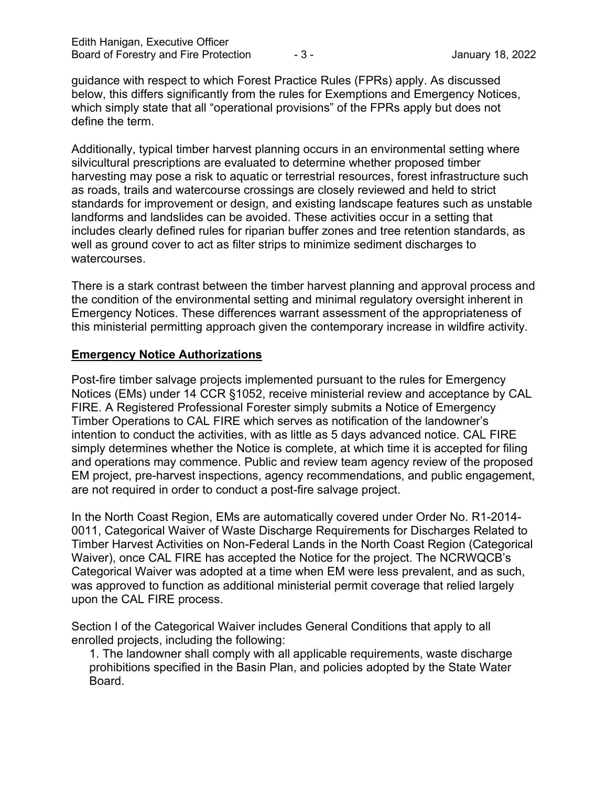guidance with respect to which Forest Practice Rules (FPRs) apply. As discussed below, this differs significantly from the rules for Exemptions and Emergency Notices, which simply state that all "operational provisions" of the FPRs apply but does not define the term.

Additionally, typical timber harvest planning occurs in an environmental setting where silvicultural prescriptions are evaluated to determine whether proposed timber harvesting may pose a risk to aquatic or terrestrial resources, forest infrastructure such as roads, trails and watercourse crossings are closely reviewed and held to strict standards for improvement or design, and existing landscape features such as unstable landforms and landslides can be avoided. These activities occur in a setting that includes clearly defined rules for riparian buffer zones and tree retention standards, as well as ground cover to act as filter strips to minimize sediment discharges to watercourses.

There is a stark contrast between the timber harvest planning and approval process and the condition of the environmental setting and minimal regulatory oversight inherent in Emergency Notices. These differences warrant assessment of the appropriateness of this ministerial permitting approach given the contemporary increase in wildfire activity.

#### **Emergency Notice Authorizations**

Post-fire timber salvage projects implemented pursuant to the rules for Emergency Notices (EMs) under 14 CCR §1052, receive ministerial review and acceptance by CAL FIRE. A Registered Professional Forester simply submits a Notice of Emergency Timber Operations to CAL FIRE which serves as notification of the landowner's intention to conduct the activities, with as little as 5 days advanced notice. CAL FIRE simply determines whether the Notice is complete, at which time it is accepted for filing and operations may commence. Public and review team agency review of the proposed EM project, pre-harvest inspections, agency recommendations, and public engagement, are not required in order to conduct a post-fire salvage project.

In the North Coast Region, EMs are automatically covered under Order No. R1-2014- 0011, Categorical Waiver of Waste Discharge Requirements for Discharges Related to Timber Harvest Activities on Non-Federal Lands in the North Coast Region (Categorical Waiver), once CAL FIRE has accepted the Notice for the project. The NCRWQCB's Categorical Waiver was adopted at a time when EM were less prevalent, and as such, was approved to function as additional ministerial permit coverage that relied largely upon the CAL FIRE process.

Section I of the Categorical Waiver includes General Conditions that apply to all enrolled projects, including the following:

1. The landowner shall comply with all applicable requirements, waste discharge prohibitions specified in the Basin Plan, and policies adopted by the State Water Board.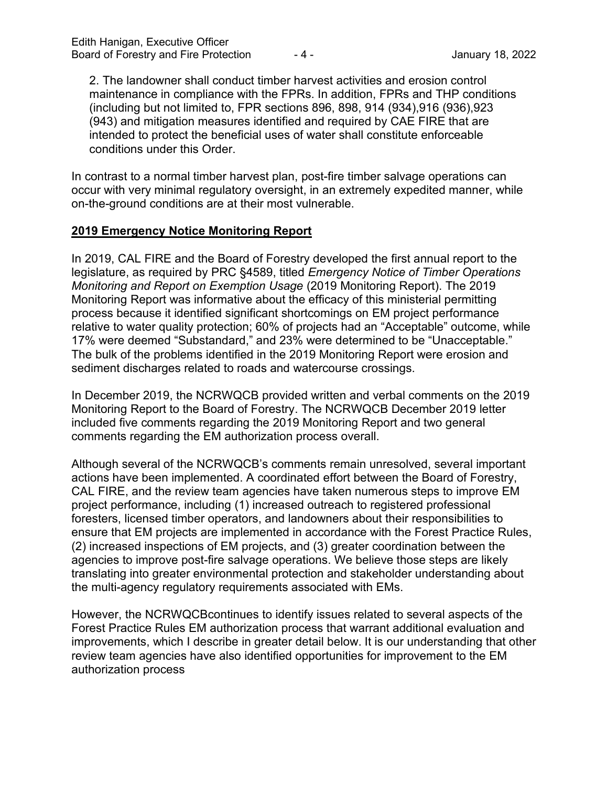2. The landowner shall conduct timber harvest activities and erosion control maintenance in compliance with the FPRs. In addition, FPRs and THP conditions (including but not limited to, FPR sections 896, 898, 914 (934),916 (936),923 (943) and mitigation measures identified and required by CAE FIRE that are intended to protect the beneficial uses of water shall constitute enforceable conditions under this Order.

In contrast to a normal timber harvest plan, post-fire timber salvage operations can occur with very minimal regulatory oversight, in an extremely expedited manner, while on-the-ground conditions are at their most vulnerable.

### **2019 Emergency Notice Monitoring Report**

In 2019, CAL FIRE and the Board of Forestry developed the first annual report to the legislature, as required by PRC §4589, titled *Emergency Notice of Timber Operations Monitoring and Report on Exemption Usage* (2019 Monitoring Report). The 2019 Monitoring Report was informative about the efficacy of this ministerial permitting process because it identified significant shortcomings on EM project performance relative to water quality protection; 60% of projects had an "Acceptable" outcome, while 17% were deemed "Substandard," and 23% were determined to be "Unacceptable." The bulk of the problems identified in the 2019 Monitoring Report were erosion and sediment discharges related to roads and watercourse crossings.

In December 2019, the NCRWQCB provided written and verbal comments on the 2019 Monitoring Report to the Board of Forestry. The NCRWQCB December 2019 letter included five comments regarding the 2019 Monitoring Report and two general comments regarding the EM authorization process overall.

Although several of the NCRWQCB's comments remain unresolved, several important actions have been implemented. A coordinated effort between the Board of Forestry, CAL FIRE, and the review team agencies have taken numerous steps to improve EM project performance, including (1) increased outreach to registered professional foresters, licensed timber operators, and landowners about their responsibilities to ensure that EM projects are implemented in accordance with the Forest Practice Rules, (2) increased inspections of EM projects, and (3) greater coordination between the agencies to improve post-fire salvage operations. We believe those steps are likely translating into greater environmental protection and stakeholder understanding about the multi-agency regulatory requirements associated with EMs.

However, the NCRWQCBcontinues to identify issues related to several aspects of the Forest Practice Rules EM authorization process that warrant additional evaluation and improvements, which I describe in greater detail below. It is our understanding that other review team agencies have also identified opportunities for improvement to the EM authorization process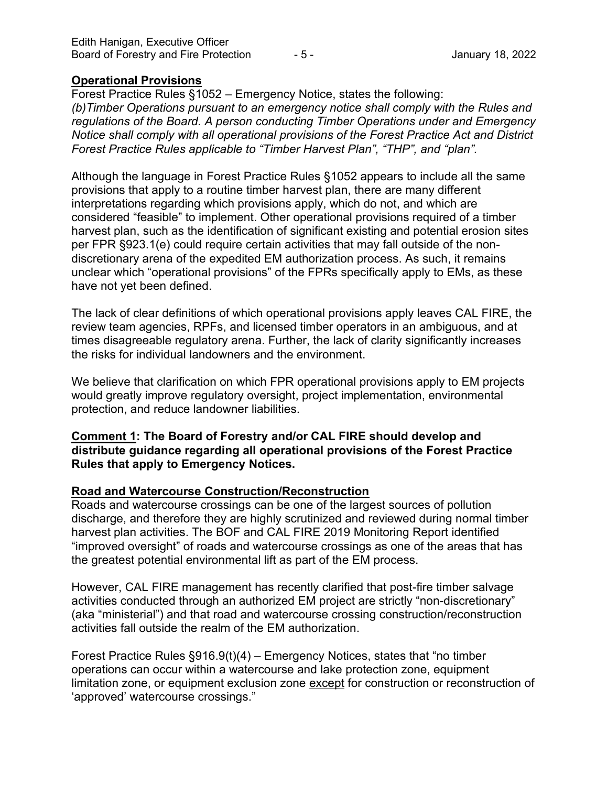#### **Operational Provisions**

Forest Practice Rules §1052 – Emergency Notice, states the following: *(b)Timber Operations pursuant to an emergency notice shall comply with the Rules and regulations of the Board. A person conducting Timber Operations under and Emergency Notice shall comply with all operational provisions of the Forest Practice Act and District Forest Practice Rules applicable to "Timber Harvest Plan", "THP", and "plan".*

Although the language in Forest Practice Rules §1052 appears to include all the same provisions that apply to a routine timber harvest plan, there are many different interpretations regarding which provisions apply, which do not, and which are considered "feasible" to implement. Other operational provisions required of a timber harvest plan, such as the identification of significant existing and potential erosion sites per FPR §923.1(e) could require certain activities that may fall outside of the nondiscretionary arena of the expedited EM authorization process. As such, it remains unclear which "operational provisions" of the FPRs specifically apply to EMs, as these have not yet been defined.

The lack of clear definitions of which operational provisions apply leaves CAL FIRE, the review team agencies, RPFs, and licensed timber operators in an ambiguous, and at times disagreeable regulatory arena. Further, the lack of clarity significantly increases the risks for individual landowners and the environment.

We believe that clarification on which FPR operational provisions apply to EM projects would greatly improve regulatory oversight, project implementation, environmental protection, and reduce landowner liabilities.

### **Comment 1: The Board of Forestry and/or CAL FIRE should develop and distribute guidance regarding all operational provisions of the Forest Practice Rules that apply to Emergency Notices.**

### **Road and Watercourse Construction/Reconstruction**

Roads and watercourse crossings can be one of the largest sources of pollution discharge, and therefore they are highly scrutinized and reviewed during normal timber harvest plan activities. The BOF and CAL FIRE 2019 Monitoring Report identified "improved oversight" of roads and watercourse crossings as one of the areas that has the greatest potential environmental lift as part of the EM process.

However, CAL FIRE management has recently clarified that post-fire timber salvage activities conducted through an authorized EM project are strictly "non-discretionary" (aka "ministerial") and that road and watercourse crossing construction/reconstruction activities fall outside the realm of the EM authorization.

Forest Practice Rules §916.9(t)(4) – Emergency Notices, states that "no timber operations can occur within a watercourse and lake protection zone, equipment limitation zone, or equipment exclusion zone except for construction or reconstruction of 'approved' watercourse crossings."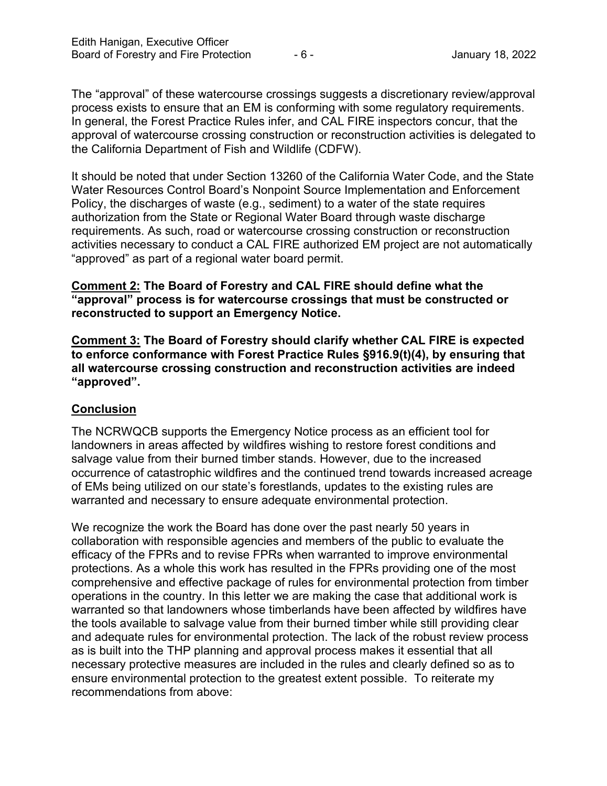The "approval" of these watercourse crossings suggests a discretionary review/approval process exists to ensure that an EM is conforming with some regulatory requirements. In general, the Forest Practice Rules infer, and CAL FIRE inspectors concur, that the approval of watercourse crossing construction or reconstruction activities is delegated to the California Department of Fish and Wildlife (CDFW).

It should be noted that under Section 13260 of the California Water Code, and the State Water Resources Control Board's Nonpoint Source Implementation and Enforcement Policy, the discharges of waste (e.g., sediment) to a water of the state requires authorization from the State or Regional Water Board through waste discharge requirements. As such, road or watercourse crossing construction or reconstruction activities necessary to conduct a CAL FIRE authorized EM project are not automatically "approved" as part of a regional water board permit.

### **Comment 2: The Board of Forestry and CAL FIRE should define what the "approval" process is for watercourse crossings that must be constructed or reconstructed to support an Emergency Notice.**

**Comment 3: The Board of Forestry should clarify whether CAL FIRE is expected to enforce conformance with Forest Practice Rules §916.9(t)(4), by ensuring that all watercourse crossing construction and reconstruction activities are indeed "approved".**

## **Conclusion**

The NCRWQCB supports the Emergency Notice process as an efficient tool for landowners in areas affected by wildfires wishing to restore forest conditions and salvage value from their burned timber stands. However, due to the increased occurrence of catastrophic wildfires and the continued trend towards increased acreage of EMs being utilized on our state's forestlands, updates to the existing rules are warranted and necessary to ensure adequate environmental protection.

We recognize the work the Board has done over the past nearly 50 years in collaboration with responsible agencies and members of the public to evaluate the efficacy of the FPRs and to revise FPRs when warranted to improve environmental protections. As a whole this work has resulted in the FPRs providing one of the most comprehensive and effective package of rules for environmental protection from timber operations in the country. In this letter we are making the case that additional work is warranted so that landowners whose timberlands have been affected by wildfires have the tools available to salvage value from their burned timber while still providing clear and adequate rules for environmental protection. The lack of the robust review process as is built into the THP planning and approval process makes it essential that all necessary protective measures are included in the rules and clearly defined so as to ensure environmental protection to the greatest extent possible. To reiterate my recommendations from above: